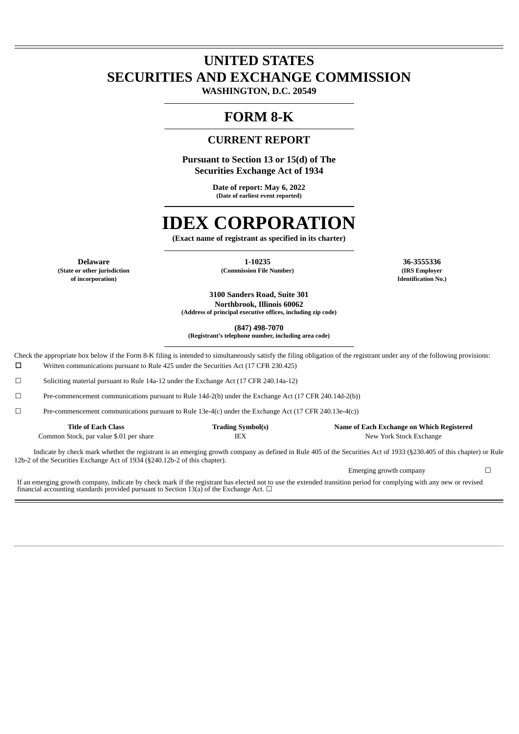# **UNITED STATES SECURITIES AND EXCHANGE COMMISSION**

**WASHINGTON, D.C. 20549**

# **FORM 8-K**

## **CURRENT REPORT**

**Pursuant to Section 13 or 15(d) of The Securities Exchange Act of 1934**

> **Date of report: May 6, 2022 (Date of earliest event reported)**

# **IDEX CORPORATION**

**(Exact name of registrant as specified in its charter)**

**Delaware 1-10235 1-10235 1-10235 1-10235 1-10235 1-10235 1-10235 1-10235 1-10235 1-10235 1-10235 1-10235 1-10235 1-10235 1-10235 1-10235 1-10235 1-10235 1-10235 1-10235 1-10235 of incorporation) Identification No.)**

**(State or other jurisdiction (Commission File Number) (IRS Employer**

**3100 Sanders Road, Suite 301 Northbrook, Illinois 60062 (Address of principal executive offices, including zip code)**

**(847) 498-7070**

**(Registrant's telephone number, including area code)**

Check the appropriate box below if the Form 8-K filing is intended to simultaneously satisfy the filing obligation of the registrant under any of the following provisions: ☐ Written communications pursuant to Rule 425 under the Securities Act (17 CFR 230.425)

☐ Soliciting material pursuant to Rule 14a-12 under the Exchange Act (17 CFR 240.14a-12)

☐ Pre-commencement communications pursuant to Rule 14d-2(b) under the Exchange Act (17 CFR 240.14d-2(b))

 $□$  Pre-commencement communications pursuant to Rule 13e-4(c) under the Exchange Act (17 CFR 240.13e-4(c))

| Title of Each Class                     | <b>Trading Symbol(s)</b> | Name of Each Exchange on Which Registered                                                                                                                          |
|-----------------------------------------|--------------------------|--------------------------------------------------------------------------------------------------------------------------------------------------------------------|
| Common Stock, par value \$.01 per share | IEX                      | New York Stock Exchange                                                                                                                                            |
|                                         |                          | Indicate by check mark whether the registrant is an emerging growth company as defined in Pule 405 of the Securities Act of 1933 (8230 405 of this chapter) or Pul |

of the Securities Act of 1933 (§230.405 of this chapter) or Rule 12b-2 of the Securities Exchange Act of 1934 (§240.12b-2 of this chapter).

Emerging growth company  $\Box$ 

If an emerging growth company, indicate by check mark if the registrant has elected not to use the extended transition period for complying with any new or revised financial accounting standards provided pursuant to Section 13(a) of the Exchange Act.  $\Box$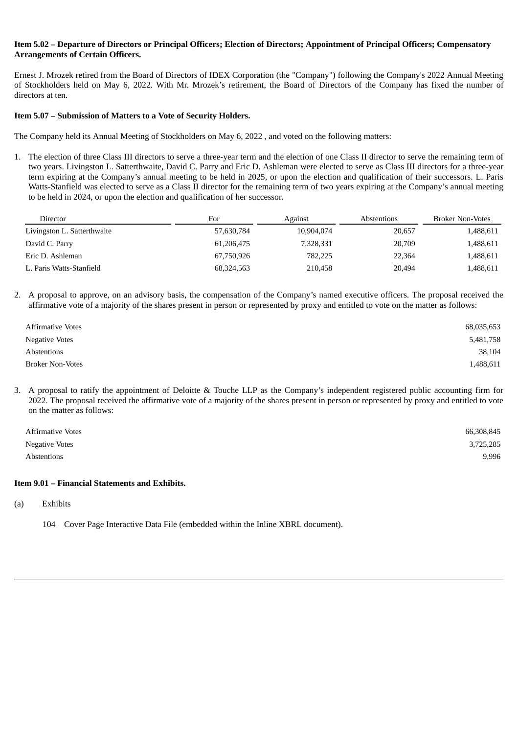#### Item 5.02 – Departure of Directors or Principal Officers: Election of Directors: Appointment of Principal Officers: Compensatory **Arrangements of Certain Officers.**

Ernest J. Mrozek retired from the Board of Directors of IDEX Corporation (the "Company") following the Company's 2022 Annual Meeting of Stockholders held on May 6, 2022. With Mr. Mrozek's retirement, the Board of Directors of the Company has fixed the number of directors at ten.

#### **Item 5.07 – Submission of Matters to a Vote of Security Holders.**

The Company held its Annual Meeting of Stockholders on May 6, 2022 , and voted on the following matters:

1. The election of three Class III directors to serve a three-year term and the election of one Class II director to serve the remaining term of two years. Livingston L. Satterthwaite, David C. Parry and Eric D. Ashleman were elected to serve as Class III directors for a three-year term expiring at the Company's annual meeting to be held in 2025, or upon the election and qualification of their successors. L. Paris Watts-Stanfield was elected to serve as a Class II director for the remaining term of two years expiring at the Company's annual meeting to be held in 2024, or upon the election and qualification of her successor.

| Director                    | For        | Against    | Abstentions | <b>Broker Non-Votes</b> |
|-----------------------------|------------|------------|-------------|-------------------------|
| Livingston L. Satterthwaite | 57,630,784 | 10,904,074 | 20,657      | 1,488,611               |
| David C. Parry              | 61,206,475 | 7,328,331  | 20,709      | 1,488,611               |
| Eric D. Ashleman            | 67,750,926 | 782,225    | 22,364      | 1,488,611               |
| L. Paris Watts-Stanfield    | 68,324,563 | 210,458    | 20.494      | 1,488,611               |

2. A proposal to approve, on an advisory basis, the compensation of the Company's named executive officers. The proposal received the affirmative vote of a majority of the shares present in person or represented by proxy and entitled to vote on the matter as follows:

| <b>Affirmative Votes</b> | 68,035,653 |
|--------------------------|------------|
| <b>Negative Votes</b>    | 5,481,758  |
| Abstentions              | 38,104     |
| <b>Broker Non-Votes</b>  | 1,488,611  |

3. A proposal to ratify the appointment of Deloitte & Touche LLP as the Company's independent registered public accounting firm for 2022. The proposal received the affirmative vote of a majority of the shares present in person or represented by proxy and entitled to vote on the matter as follows:

| <b>Affirmative Votes</b> | 66,308,845 |
|--------------------------|------------|
| Negative Votes           | 3,725,285  |
| Abstentions              | 9,996      |

#### **Item 9.01 – Financial Statements and Exhibits.**

(a) Exhibits

104 Cover Page Interactive Data File (embedded within the Inline XBRL document).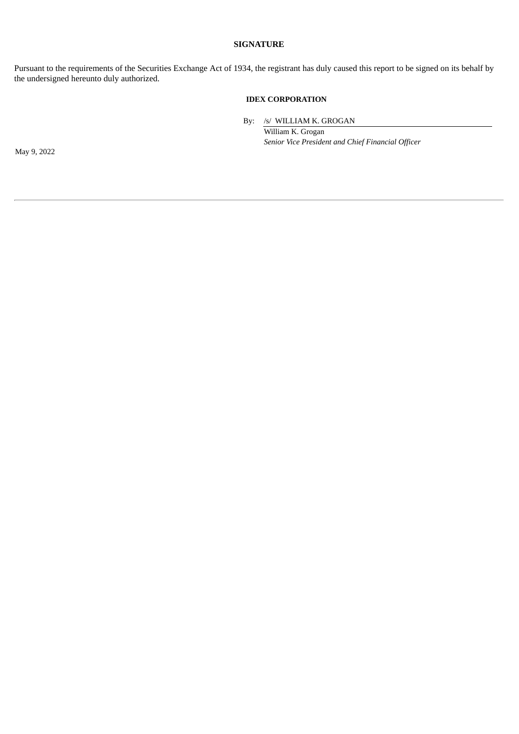#### **SIGNATURE**

Pursuant to the requirements of the Securities Exchange Act of 1934, the registrant has duly caused this report to be signed on its behalf by the undersigned hereunto duly authorized.

#### **IDEX CORPORATION**

By: /s/ WILLIAM K. GROGAN

William K. Grogan *Senior Vice President and Chief Financial Officer*

May 9, 2022